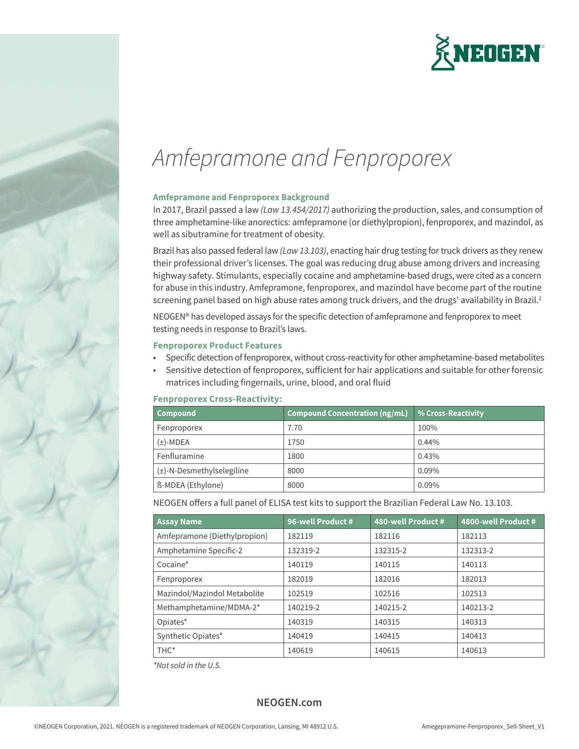

# *Amfepramone and Fenproporex*

## **Amfepramone and Fenproporex Background**

In 2017, Brazil passed a law *(Law 13.454/2017)* authorizing the production, sales, and consumption of three amphetamine-like anorectics: amfepramone (or diethylpropion), fenproporex, and mazindol, as well as sibutramine for treatment of obesity.

Brazil has also passed federal law *(Law 13.103)*, enacting hair drug testing for truck drivers as they renew their professional driver's licenses. The goal was reducing drug abuse among drivers and increasing highway safety. Stimulants, especially cocaine and amphetamine-based drugs, were cited as a concern for abuse in this industry. Amfepramone, fenproporex, and mazindol have become part of the routine screening panel based on high abuse rates among truck drivers, and the drugs' availability in Brazil.<sup>2</sup>

NEOGEN® has developed assays for the specific detection of amfepramone and fenproporex to meet testing needs in response to Brazil's laws.

### **Fenproporex Product Features**

- Specific detection of fenproporex, without cross-reactivity for other amphetamine-based metabolites
- Sensitive detection of fenproporex, sufficient for hair applications and suitable for other forensic matrices including fingernails, urine, blood, and oral fluid

## **Fenproporex Cross-Reactivity:**

| <b>Compound</b>                | <b>Compound Concentration (ng/mL)</b> | % Cross-Reactivity |
|--------------------------------|---------------------------------------|--------------------|
| Fenproporex                    | 7.70                                  | 100%               |
| $(\pm)$ -MDEA                  | 1750                                  | $0.44\%$           |
| Fenfluramine                   | 1800                                  | 0.43%              |
| $(\pm)$ -N-Desmethylselegiline | 8000                                  | $0.09\%$           |
| ß-MDEA (Ethylone)              | 8000                                  | 0.09%              |

NEOGEN offers a full panel of ELISA test kits to support the Brazilian Federal Law No. 13.103.

| <b>Assay Name</b>            | 96-well Product # | 480-well Product # | 4800-well Product # |
|------------------------------|-------------------|--------------------|---------------------|
| Amfepramone (Diethylpropion) | 182119            | 182116             | 182113              |
| Amphetamine Specific-2       | 132319-2          | 132315-2           | 132313-2            |
| Cocaine*                     | 140119            | 140115             | 140113              |
| Fenproporex                  | 182019            | 182016             | 182013              |
| Mazindol/Mazindol Metabolite | 102519            | 102516             | 102513              |
| Methamphetamine/MDMA-2*      | 140219-2          | 140215-2           | 140213-2            |
| Opiates*                     | 140319            | 140315             | 140313              |
| Synthetic Opiates*           | 140419            | 140415             | 140413              |
| THC <sup>*</sup>             | 140619            | 140615             | 140613              |

*\*Not sold in the U.S.*

# **NEOGEN.com**